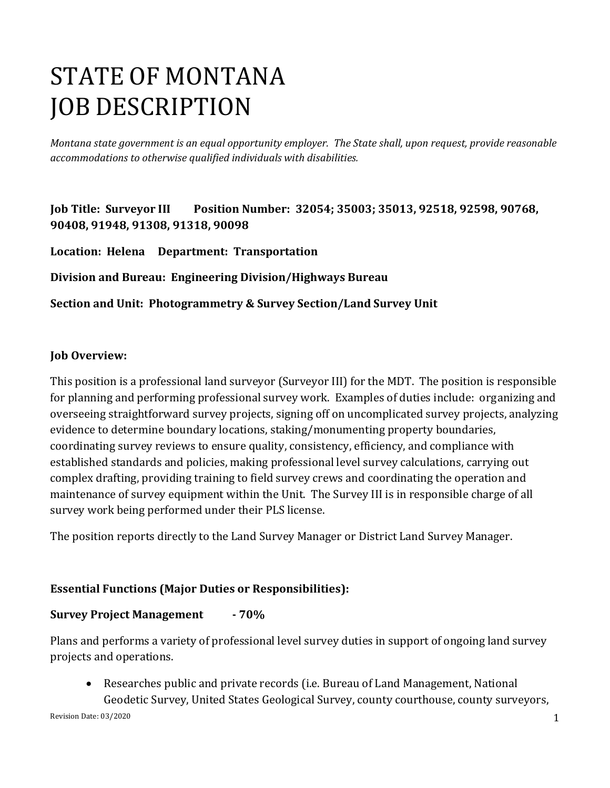# STATE OF MONTANA JOB DESCRIPTION

*Montana state government is an equal opportunity employer. The State shall, upon request, provide reasonable accommodations to otherwise qualified individuals with disabilities.*

**Job Title: Surveyor III Position Number: 32054; 35003; 35013, 92518, 92598, 90768, 90408, 91948, 91308, 91318, 90098** 

**Location: Helena Department: Transportation** 

**Division and Bureau: Engineering Division/Highways Bureau** 

**Section and Unit: Photogrammetry & Survey Section/Land Survey Unit**

### **Job Overview:**

This position is a professional land surveyor (Surveyor III) for the MDT. The position is responsible for planning and performing professional survey work. Examples of duties include: organizing and overseeing straightforward survey projects, signing off on uncomplicated survey projects, analyzing evidence to determine boundary locations, staking/monumenting property boundaries, coordinating survey reviews to ensure quality, consistency, efficiency, and compliance with established standards and policies, making professional level survey calculations, carrying out complex drafting, providing training to field survey crews and coordinating the operation and maintenance of survey equipment within the Unit. The Survey III is in responsible charge of all survey work being performed under their PLS license.

The position reports directly to the Land Survey Manager or District Land Survey Manager.

### **Essential Functions (Major Duties or Responsibilities):**

### **Survey Project Management - 70%**

Plans and performs a variety of professional level survey duties in support of ongoing land survey projects and operations.

• Researches public and private records (i.e. Bureau of Land Management, National Geodetic Survey, United States Geological Survey, county courthouse, county surveyors,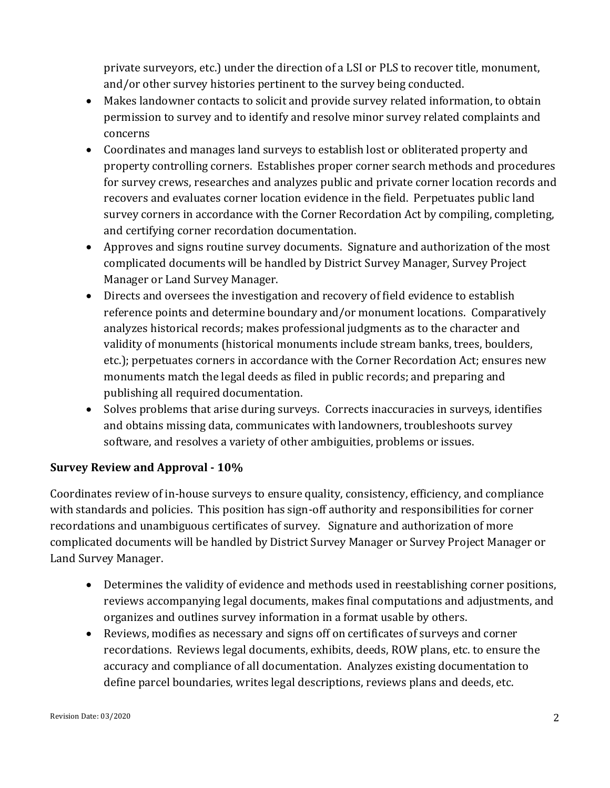private surveyors, etc.) under the direction of a LSI or PLS to recover title, monument, and/or other survey histories pertinent to the survey being conducted.

- Makes landowner contacts to solicit and provide survey related information, to obtain permission to survey and to identify and resolve minor survey related complaints and concerns
- Coordinates and manages land surveys to establish lost or obliterated property and property controlling corners. Establishes proper corner search methods and procedures for survey crews, researches and analyzes public and private corner location records and recovers and evaluates corner location evidence in the field. Perpetuates public land survey corners in accordance with the Corner Recordation Act by compiling, completing, and certifying corner recordation documentation.
- Approves and signs routine survey documents. Signature and authorization of the most complicated documents will be handled by District Survey Manager, Survey Project Manager or Land Survey Manager.
- Directs and oversees the investigation and recovery of field evidence to establish reference points and determine boundary and/or monument locations. Comparatively analyzes historical records; makes professional judgments as to the character and validity of monuments (historical monuments include stream banks, trees, boulders, etc.); perpetuates corners in accordance with the Corner Recordation Act; ensures new monuments match the legal deeds as filed in public records; and preparing and publishing all required documentation.
- Solves problems that arise during surveys. Corrects inaccuracies in surveys, identifies and obtains missing data, communicates with landowners, troubleshoots survey software, and resolves a variety of other ambiguities, problems or issues.

### **Survey Review and Approval - 10%**

Coordinates review of in-house surveys to ensure quality, consistency, efficiency, and compliance with standards and policies. This position has sign-off authority and responsibilities for corner recordations and unambiguous certificates of survey. Signature and authorization of more complicated documents will be handled by District Survey Manager or Survey Project Manager or Land Survey Manager.

- Determines the validity of evidence and methods used in reestablishing corner positions, reviews accompanying legal documents, makes final computations and adjustments, and organizes and outlines survey information in a format usable by others.
- Reviews, modifies as necessary and signs off on certificates of surveys and corner recordations. Reviews legal documents, exhibits, deeds, ROW plans, etc. to ensure the accuracy and compliance of all documentation. Analyzes existing documentation to define parcel boundaries, writes legal descriptions, reviews plans and deeds, etc.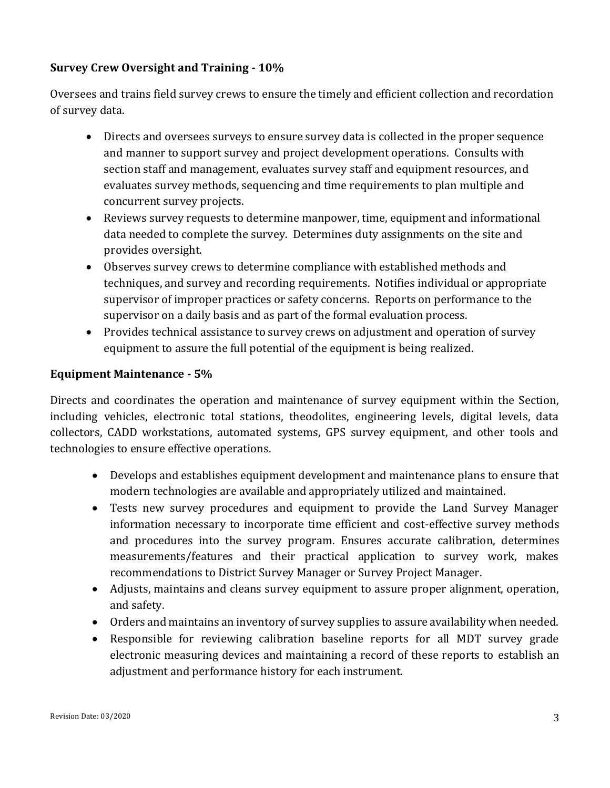### **Survey Crew Oversight and Training - 10%**

Oversees and trains field survey crews to ensure the timely and efficient collection and recordation of survey data.

- Directs and oversees surveys to ensure survey data is collected in the proper sequence and manner to support survey and project development operations. Consults with section staff and management, evaluates survey staff and equipment resources, and evaluates survey methods, sequencing and time requirements to plan multiple and concurrent survey projects.
- Reviews survey requests to determine manpower, time, equipment and informational data needed to complete the survey. Determines duty assignments on the site and provides oversight.
- Observes survey crews to determine compliance with established methods and techniques, and survey and recording requirements. Notifies individual or appropriate supervisor of improper practices or safety concerns. Reports on performance to the supervisor on a daily basis and as part of the formal evaluation process.
- Provides technical assistance to survey crews on adjustment and operation of survey equipment to assure the full potential of the equipment is being realized.

#### **Equipment Maintenance - 5%**

Directs and coordinates the operation and maintenance of survey equipment within the Section, including vehicles, electronic total stations, theodolites, engineering levels, digital levels, data collectors, CADD workstations, automated systems, GPS survey equipment, and other tools and technologies to ensure effective operations.

- Develops and establishes equipment development and maintenance plans to ensure that modern technologies are available and appropriately utilized and maintained.
- Tests new survey procedures and equipment to provide the Land Survey Manager information necessary to incorporate time efficient and cost-effective survey methods and procedures into the survey program. Ensures accurate calibration, determines measurements/features and their practical application to survey work, makes recommendations to District Survey Manager or Survey Project Manager.
- Adjusts, maintains and cleans survey equipment to assure proper alignment, operation, and safety.
- Orders and maintains an inventory of survey supplies to assure availability when needed.
- Responsible for reviewing calibration baseline reports for all MDT survey grade electronic measuring devices and maintaining a record of these reports to establish an adjustment and performance history for each instrument.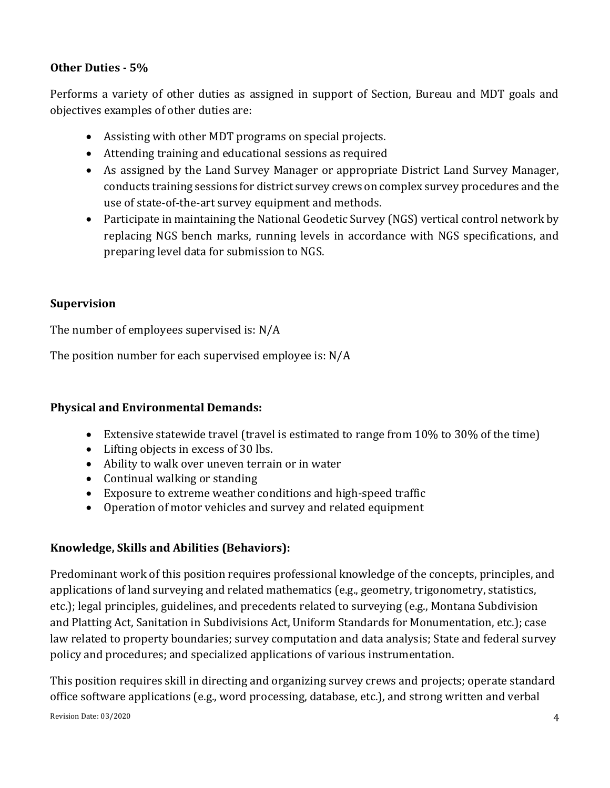#### **Other Duties - 5%**

Performs a variety of other duties as assigned in support of Section, Bureau and MDT goals and objectives examples of other duties are:

- Assisting with other MDT programs on special projects.
- Attending training and educational sessions as required
- As assigned by the Land Survey Manager or appropriate District Land Survey Manager, conducts training sessions for district survey crews on complex survey procedures and the use of state-of-the-art survey equipment and methods.
- Participate in maintaining the National Geodetic Survey (NGS) vertical control network by replacing NGS bench marks, running levels in accordance with NGS specifications, and preparing level data for submission to NGS.

### **Supervision**

The number of employees supervised is: N/A

The position number for each supervised employee is: N/A

### **Physical and Environmental Demands:**

- Extensive statewide travel (travel is estimated to range from 10% to 30% of the time)
- Lifting objects in excess of 30 lbs.
- Ability to walk over uneven terrain or in water
- Continual walking or standing
- Exposure to extreme weather conditions and high-speed traffic
- Operation of motor vehicles and survey and related equipment

#### **Knowledge, Skills and Abilities (Behaviors):**

Predominant work of this position requires professional knowledge of the concepts, principles, and applications of land surveying and related mathematics (e.g., geometry, trigonometry, statistics, etc.); legal principles, guidelines, and precedents related to surveying (e.g., Montana Subdivision and Platting Act, Sanitation in Subdivisions Act, Uniform Standards for Monumentation, etc.); case law related to property boundaries; survey computation and data analysis; State and federal survey policy and procedures; and specialized applications of various instrumentation.

This position requires skill in directing and organizing survey crews and projects; operate standard office software applications (e.g., word processing, database, etc.), and strong written and verbal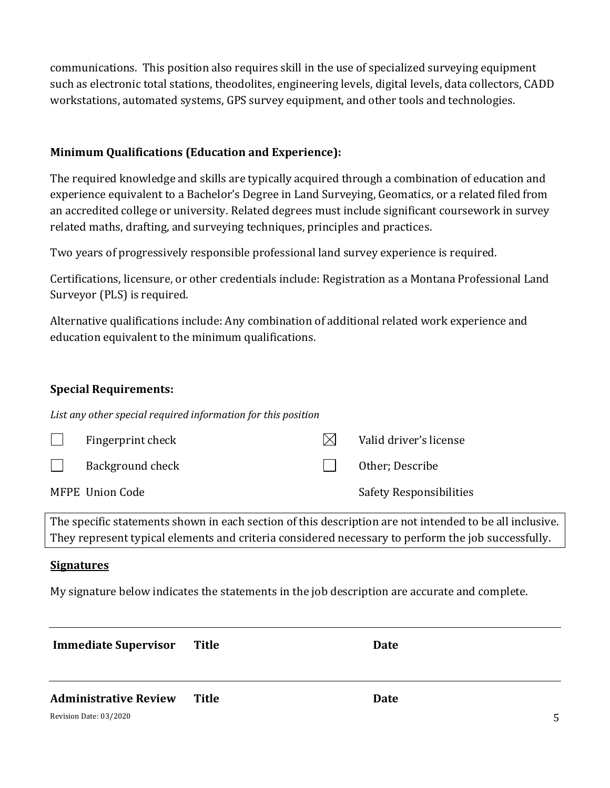communications. This position also requires skill in the use of specialized surveying equipment such as electronic total stations, theodolites, engineering levels, digital levels, data collectors, CADD workstations, automated systems, GPS survey equipment, and other tools and technologies.

## **Minimum Qualifications (Education and Experience):**

The required knowledge and skills are typically acquired through a combination of education and experience equivalent to a Bachelor's Degree in Land Surveying, Geomatics, or a related filed from an accredited college or university. Related degrees must include significant coursework in survey related maths, drafting, and surveying techniques, principles and practices.

Two years of progressively responsible professional land survey experience is required.

Certifications, licensure, or other credentials include: Registration as a Montana Professional Land Surveyor (PLS) is required.

Alternative qualifications include: Any combination of additional related work experience and education equivalent to the minimum qualifications.

#### **Special Requirements:**

*List any other special required information for this position*

| Fingerprint check | Valid driver's license         |
|-------------------|--------------------------------|
| Background check  | Other; Describe                |
| MFPE Union Code   | <b>Safety Responsibilities</b> |

The specific statements shown in each section of this description are not intended to be all inclusive. They represent typical elements and criteria considered necessary to perform the job successfully.

#### **Signatures**

My signature below indicates the statements in the job description are accurate and complete.

| <b>Immediate Supervisor</b>  | Title | Date |   |
|------------------------------|-------|------|---|
| <b>Administrative Review</b> | Title | Date |   |
| Revision Date: 03/2020       |       |      | 5 |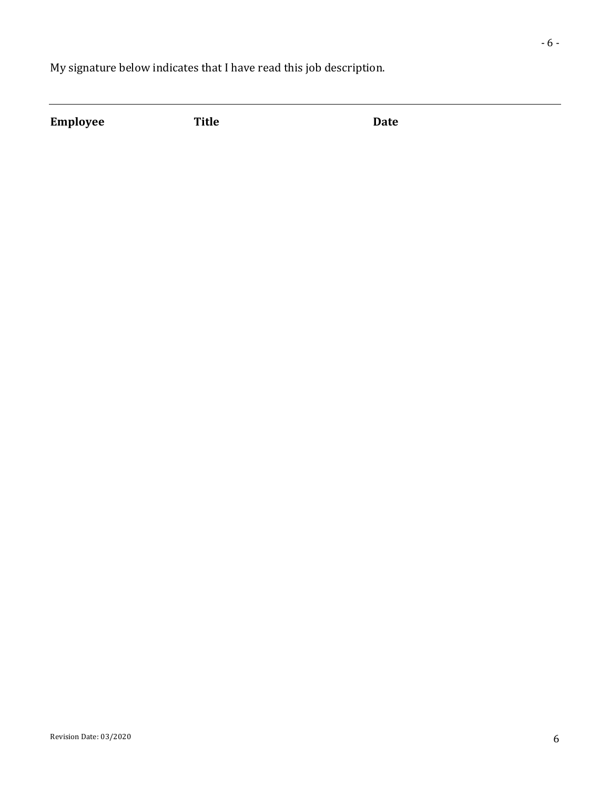My signature below indicates that I have read this job description.

**Employee Title Date**